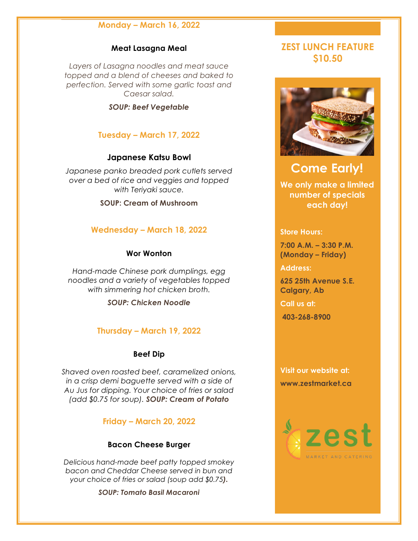# **Monday – March 16, 2022**

#### **Meat Lasagna Meal**

*Layers of Lasagna noodles and meat sauce topped and a blend of cheeses and baked to perfection. Served with some garlic toast and Caesar salad.*

*SOUP: Beef Vegetable*

## **Tuesday – March 17, 2022**

#### **Japanese Katsu Bowl**

*Japanese panko breaded pork cutlets served over a bed of rice and veggies and topped with Teriyaki sauce.*

#### **SOUP: Cream of Mushroom**

## **Wednesday – March 18, 2022**

#### **Wor Wonton**

*Hand-made Chinese pork dumplings, egg noodles and a variety of vegetables topped with simmering hot chicken broth.*

*SOUP: Chicken Noodle*

#### **Thursday – March 19, 2022**

## **Beef Dip**

*Shaved oven roasted beef, caramelized onions, in a crisp demi baguette served with a side of Au Jus for dipping. Your choice of fries or salad (add \$0.75 for soup). SOUP: Cream of Potato*

## **Friday – March 20, 2022**

#### **Bacon Cheese Burger**

*Delicious hand-made beef patty topped smokey bacon and Cheddar Cheese served in bun and your choice of fries or salad (soup add \$0.75).*

*SOUP: Tomato Basil Macaroni*

# **ZEST LUNCH FEATURE \$10.50**



# **Come Early!**

**We only make a limited number of specials each day!**

#### **Store Hours:**

**7:00 A.M. – 3:30 P.M. (Monday – Friday)**

**Address:**

**625 25th Avenue S.E. Calgary, Ab**

**Call us at:**

**403-268-8900** 

**Visit our website at: www.zestmarket.ca**